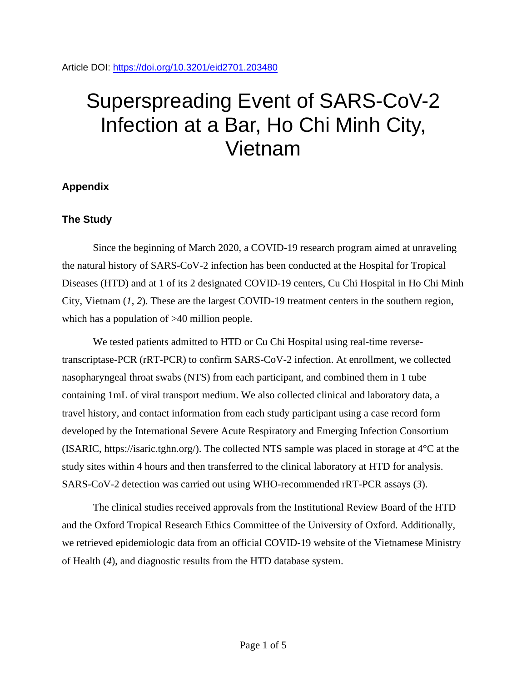# Superspreading Event of SARS-CoV-2 Infection at a Bar, Ho Chi Minh City, Vietnam

# **Appendix**

# **The Study**

Since the beginning of March 2020, a COVID-19 research program aimed at unraveling the natural history of SARS-CoV-2 infection has been conducted at the Hospital for Tropical Diseases (HTD) and at 1 of its 2 designated COVID-19 centers, Cu Chi Hospital in Ho Chi Minh City, Vietnam (*1*, *2*). These are the largest COVID-19 treatment centers in the southern region, which has a population of  $>40$  million people.

We tested patients admitted to HTD or Cu Chi Hospital using real-time reversetranscriptase-PCR (rRT-PCR) to confirm SARS-CoV-2 infection. At enrollment, we collected nasopharyngeal throat swabs (NTS) from each participant, and combined them in 1 tube containing 1mL of viral transport medium. We also collected clinical and laboratory data, a travel history, and contact information from each study participant using a case record form developed by the International Severe Acute Respiratory and Emerging Infection Consortium (ISARIC, https://isaric.tghn.org/). The collected NTS sample was placed in storage at 4°C at the study sites within 4 hours and then transferred to the clinical laboratory at HTD for analysis. SARS-CoV-2 detection was carried out using WHO-recommended rRT-PCR assays (*3*).

The clinical studies received approvals from the Institutional Review Board of the HTD and the Oxford Tropical Research Ethics Committee of the University of Oxford. Additionally, we retrieved epidemiologic data from an official COVID-19 website of the Vietnamese Ministry of Health (*4*), and diagnostic results from the HTD database system.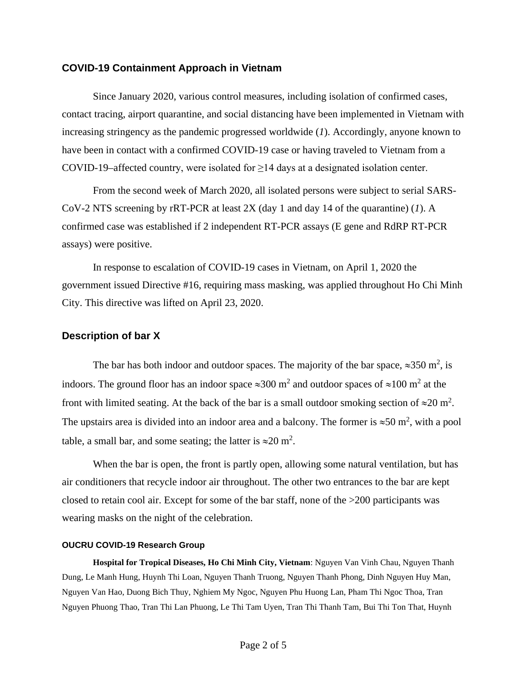#### **COVID-19 Containment Approach in Vietnam**

Since January 2020, various control measures, including isolation of confirmed cases, contact tracing, airport quarantine, and social distancing have been implemented in Vietnam with increasing stringency as the pandemic progressed worldwide (*1*). Accordingly, anyone known to have been in contact with a confirmed COVID-19 case or having traveled to Vietnam from a COVID-19–affected country, were isolated for  $\geq$ 14 days at a designated isolation center.

From the second week of March 2020, all isolated persons were subject to serial SARS-CoV-2 NTS screening by rRT-PCR at least 2X (day 1 and day 14 of the quarantine) (*1*). A confirmed case was established if 2 independent RT-PCR assays (E gene and RdRP RT-PCR assays) were positive.

In response to escalation of COVID-19 cases in Vietnam, on April 1, 2020 the government issued Directive #16, requiring mass masking, was applied throughout Ho Chi Minh City. This directive was lifted on April 23, 2020.

## **Description of bar X**

The bar has both indoor and outdoor spaces. The majority of the bar space,  $\approx$ 350 m<sup>2</sup>, is indoors. The ground floor has an indoor space  $\approx 300$  m<sup>2</sup> and outdoor spaces of  $\approx 100$  m<sup>2</sup> at the front with limited seating. At the back of the bar is a small outdoor smoking section of  $\approx 20$  m<sup>2</sup>. The upstairs area is divided into an indoor area and a balcony. The former is  $\approx 50$  m<sup>2</sup>, with a pool table, a small bar, and some seating; the latter is  $\approx 20$  m<sup>2</sup>.

When the bar is open, the front is partly open, allowing some natural ventilation, but has air conditioners that recycle indoor air throughout. The other two entrances to the bar are kept closed to retain cool air. Except for some of the bar staff, none of the >200 participants was wearing masks on the night of the celebration.

#### **OUCRU COVID-19 Research Group**

**Hospital for Tropical Diseases, Ho Chi Minh City, Vietnam**: Nguyen Van Vinh Chau, Nguyen Thanh Dung, Le Manh Hung, Huynh Thi Loan, Nguyen Thanh Truong, Nguyen Thanh Phong, Dinh Nguyen Huy Man, Nguyen Van Hao, Duong Bich Thuy, Nghiem My Ngoc, Nguyen Phu Huong Lan, Pham Thi Ngoc Thoa, Tran Nguyen Phuong Thao, Tran Thi Lan Phuong, Le Thi Tam Uyen, Tran Thi Thanh Tam, Bui Thi Ton That, Huynh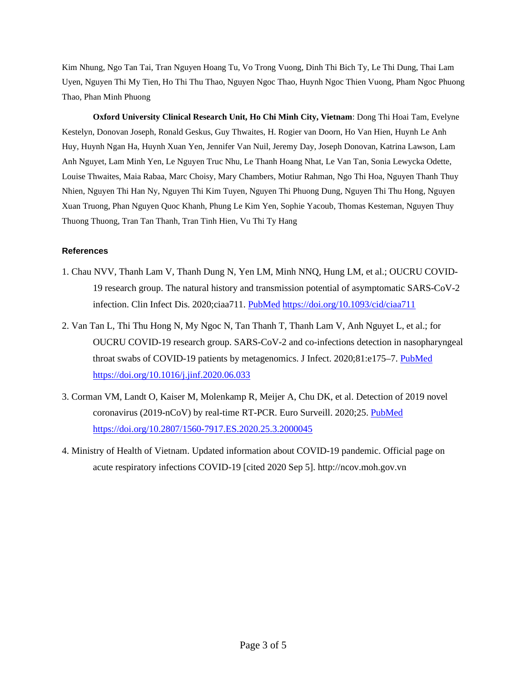Kim Nhung, Ngo Tan Tai, Tran Nguyen Hoang Tu, Vo Trong Vuong, Dinh Thi Bich Ty, Le Thi Dung, Thai Lam Uyen, Nguyen Thi My Tien, Ho Thi Thu Thao, Nguyen Ngoc Thao, Huynh Ngoc Thien Vuong, Pham Ngoc Phuong Thao, Phan Minh Phuong

**Oxford University Clinical Research Unit, Ho Chi Minh City, Vietnam**: Dong Thi Hoai Tam, Evelyne Kestelyn, Donovan Joseph, Ronald Geskus, Guy Thwaites, H. Rogier van Doorn, Ho Van Hien, Huynh Le Anh Huy, Huynh Ngan Ha, Huynh Xuan Yen, Jennifer Van Nuil, Jeremy Day, Joseph Donovan, Katrina Lawson, Lam Anh Nguyet, Lam Minh Yen, Le Nguyen Truc Nhu, Le Thanh Hoang Nhat, Le Van Tan, Sonia Lewycka Odette, Louise Thwaites, Maia Rabaa, Marc Choisy, Mary Chambers, Motiur Rahman, Ngo Thi Hoa, Nguyen Thanh Thuy Nhien, Nguyen Thi Han Ny, Nguyen Thi Kim Tuyen, Nguyen Thi Phuong Dung, Nguyen Thi Thu Hong, Nguyen Xuan Truong, Phan Nguyen Quoc Khanh, Phung Le Kim Yen, Sophie Yacoub, Thomas Kesteman, Nguyen Thuy Thuong Thuong, Tran Tan Thanh, Tran Tinh Hien, Vu Thi Ty Hang

## **References**

- 1. Chau NVV, Thanh Lam V, Thanh Dung N, Yen LM, Minh NNQ, Hung LM, et al.; OUCRU COVID-19 research group. The natural history and transmission potential of asymptomatic SARS-CoV-2 infection. Clin Infect Dis. 2020;ciaa711. [PubMed](https://www.ncbi.nlm.nih.gov/entrez/query.fcgi?cmd=Retrieve&db=PubMed&list_uids=32497212&dopt=Abstract) <https://doi.org/10.1093/cid/ciaa711>
- 2. Van Tan L, Thi Thu Hong N, My Ngoc N, Tan Thanh T, Thanh Lam V, Anh Nguyet L, et al.; for OUCRU COVID-19 research group. SARS-CoV-2 and co-infections detection in nasopharyngeal throat swabs of COVID-19 patients by metagenomics. J Infect. 2020;81:e175-7. [PubMed](https://www.ncbi.nlm.nih.gov/entrez/query.fcgi?cmd=Retrieve&db=PubMed&list_uids=32562797&dopt=Abstract) <https://doi.org/10.1016/j.jinf.2020.06.033>
- 3. Corman VM, Landt O, Kaiser M, Molenkamp R, Meijer A, Chu DK, et al. Detection of 2019 novel coronavirus (2019-nCoV) by real-time RT-PCR. Euro Surveill. 2020;25. [PubMed](https://www.ncbi.nlm.nih.gov/entrez/query.fcgi?cmd=Retrieve&db=PubMed&list_uids=31992387&dopt=Abstract) <https://doi.org/10.2807/1560-7917.ES.2020.25.3.2000045>
- 4. Ministry of Health of Vietnam. Updated information about COVID-19 pandemic. Official page on acute respiratory infections COVID-19 [cited 2020 Sep 5]. http://ncov.moh.gov.vn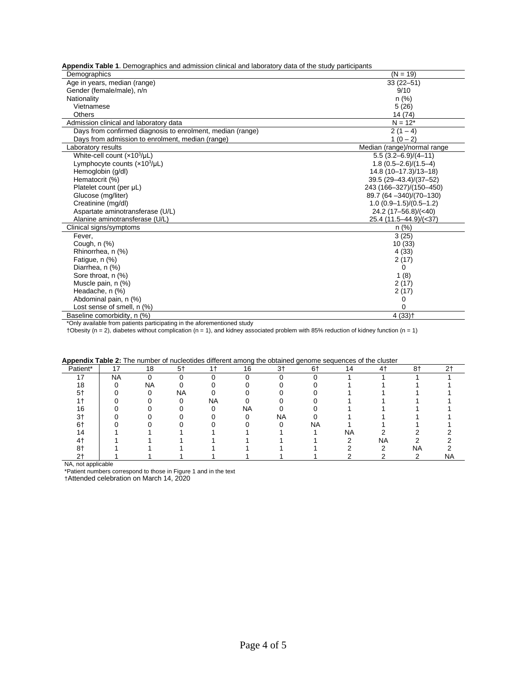**Appendix Table 1**. Demographics and admission clinical and laboratory data of the study participants

| Demographics                                               | $(N = 19)$                  |
|------------------------------------------------------------|-----------------------------|
| Age in years, median (range)                               | $33(22 - 51)$               |
| Gender (female/male), n/n                                  | 9/10                        |
| Nationality                                                | $n$ (%)                     |
| Vietnamese                                                 | 5(26)                       |
| Others                                                     | 14 (74)                     |
| Admission clinical and laboratory data                     | $N = 12*$                   |
| Days from confirmed diagnosis to enrolment, median (range) | $2(1-4)$                    |
| Days from admission to enrolment, median (range)           | $1(0-2)$                    |
| Laboratory results                                         | Median (range)/normal range |
| White-cell count $(x10^3/\mu L)$                           | $5.5(3.2 - 6.9)/(4 - 11)$   |
| Lymphocyte counts $(x10^3/\mu L)$                          | $1.8(0.5 - 2.6)/(1.5 - 4)$  |
| Hemoglobin (g/dl)                                          | 14.8 (10-17.3)/13-18)       |
| Hematocrit (%)                                             | 39.5 (29-43.4)/(37-52)      |
| Platelet count (per µL)                                    | 243 (166-327)/(150-450)     |
| Glucose (mg/liter)                                         | 89.7 (64 - 340)/(70 - 130)  |
| Creatinine (mg/dl)                                         | $1.0(0.9-1.5)/(0.5-1.2)$    |
| Aspartate aminotransferase (U/L)                           | $24.2(17-56.8)/(40)$        |
| Alanine aminotransferase (U/L)                             | 25.4 (11.5–44.9)/(<37)      |
| Clinical signs/symptoms                                    | $n$ (%)                     |
| Fever,                                                     | 3(25)                       |
| Cough, n (%)                                               | 10(33)                      |
| Rhinorrhea, n (%)                                          | 4(33)                       |
| Fatique, n (%)                                             | 2(17)                       |
| Diarrhea, n (%)                                            | 0                           |
| Sore throat, n (%)                                         | 1(8)                        |
| Muscle pain, n (%)                                         | 2(17)                       |
| Headache, n (%)                                            | 2(17)                       |
| Abdominal pain, n (%)                                      | 0                           |
| Lost sense of smell, n (%)                                 | 0                           |
| Baseline comorbidity, n (%)                                | $4(33)$ <sup>+</sup>        |

\*Only available from patients participating in the aforementioned study

†Obesity (n = 2), diabetes without complication (n = 1), and kidney associated problem with 85% reduction of kidney function (n = 1)

| Appendix Table 2. The number of nucleolides different among the obtained genome sequences of the cluster |    |    |      |    |    |      |     |     |     |     |    |
|----------------------------------------------------------------------------------------------------------|----|----|------|----|----|------|-----|-----|-----|-----|----|
| Patient*                                                                                                 |    | 18 | $5+$ |    | 16 | $3+$ | 6†  | 14  | 4+  | 8†  | റ∔ |
|                                                                                                          | NA |    |      |    |    |      |     |     |     |     |    |
| 18                                                                                                       |    | NA |      |    |    |      |     |     |     |     |    |
| 54                                                                                                       |    |    | ΝA   |    |    |      |     |     |     |     |    |
|                                                                                                          |    |    |      | ΝA |    |      |     |     |     |     |    |
| 16                                                                                                       |    |    |      |    | NA |      |     |     |     |     |    |
| ົາ⊥                                                                                                      |    |    |      |    |    | ΝA   |     |     |     |     |    |
|                                                                                                          |    |    |      |    |    |      | NA. |     |     |     |    |
|                                                                                                          |    |    |      |    |    |      |     | NA. |     |     |    |
|                                                                                                          |    |    |      |    |    |      |     |     | NA. |     |    |
|                                                                                                          |    |    |      |    |    |      |     |     |     | NA. |    |
|                                                                                                          |    |    |      |    |    |      |     |     |     |     | ΝA |

|  |  |  |  |  |  |  |  | Appendix Table 2: The number of nucleotides different among the obtained genome sequences of the cluster |
|--|--|--|--|--|--|--|--|----------------------------------------------------------------------------------------------------------|
|--|--|--|--|--|--|--|--|----------------------------------------------------------------------------------------------------------|

NA, not applicable

\*Patient numbers correspond to those in Figure 1 and in the text

†Attended celebration on March 14, 2020